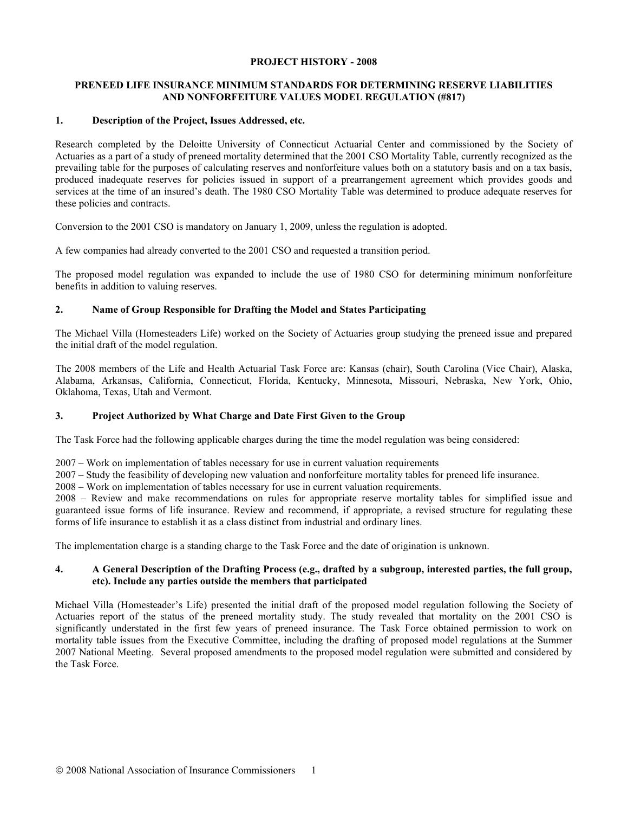#### **PROJECT HISTORY - 2008**

# **PRENEED LIFE INSURANCE MINIMUM STANDARDS FOR DETERMINING RESERVE LIABILITIES AND NONFORFEITURE VALUES MODEL REGULATION (#817)**

### **1. Description of the Project, Issues Addressed, etc.**

Research completed by the Deloitte University of Connecticut Actuarial Center and commissioned by the Society of Actuaries as a part of a study of preneed mortality determined that the 2001 CSO Mortality Table, currently recognized as the prevailing table for the purposes of calculating reserves and nonforfeiture values both on a statutory basis and on a tax basis, produced inadequate reserves for policies issued in support of a prearrangement agreement which provides goods and services at the time of an insured's death. The 1980 CSO Mortality Table was determined to produce adequate reserves for these policies and contracts.

Conversion to the 2001 CSO is mandatory on January 1, 2009, unless the regulation is adopted.

A few companies had already converted to the 2001 CSO and requested a transition period.

The proposed model regulation was expanded to include the use of 1980 CSO for determining minimum nonforfeiture benefits in addition to valuing reserves.

#### **2. Name of Group Responsible for Drafting the Model and States Participating**

The Michael Villa (Homesteaders Life) worked on the Society of Actuaries group studying the preneed issue and prepared the initial draft of the model regulation.

The 2008 members of the Life and Health Actuarial Task Force are: Kansas (chair), South Carolina (Vice Chair), Alaska, Alabama, Arkansas, California, Connecticut, Florida, Kentucky, Minnesota, Missouri, Nebraska, New York, Ohio, Oklahoma, Texas, Utah and Vermont.

# **3. Project Authorized by What Charge and Date First Given to the Group**

The Task Force had the following applicable charges during the time the model regulation was being considered:

2007 – Work on implementation of tables necessary for use in current valuation requirements

2007 – Study the feasibility of developing new valuation and nonforfeiture mortality tables for preneed life insurance.

2008 – Work on implementation of tables necessary for use in current valuation requirements.

2008 – Review and make recommendations on rules for appropriate reserve mortality tables for simplified issue and guaranteed issue forms of life insurance. Review and recommend, if appropriate, a revised structure for regulating these forms of life insurance to establish it as a class distinct from industrial and ordinary lines.

The implementation charge is a standing charge to the Task Force and the date of origination is unknown.

# **4. A General Description of the Drafting Process (e.g., drafted by a subgroup, interested parties, the full group, etc). Include any parties outside the members that participated**

Michael Villa (Homesteader's Life) presented the initial draft of the proposed model regulation following the Society of Actuaries report of the status of the preneed mortality study. The study revealed that mortality on the 2001 CSO is significantly understated in the first few years of preneed insurance. The Task Force obtained permission to work on mortality table issues from the Executive Committee, including the drafting of proposed model regulations at the Summer 2007 National Meeting. Several proposed amendments to the proposed model regulation were submitted and considered by the Task Force.